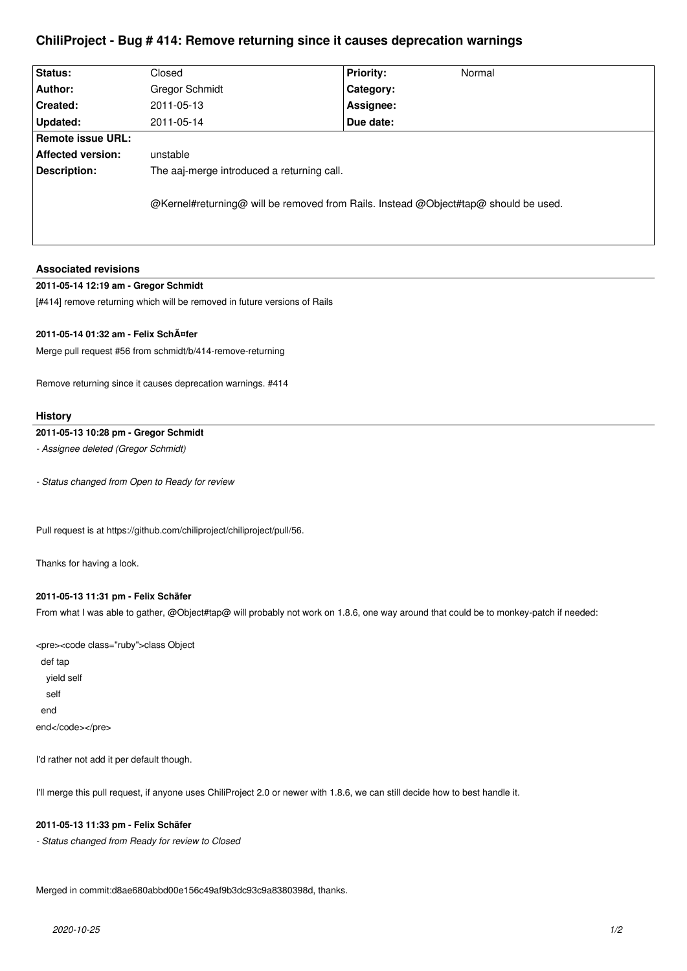## **ChiliProject - Bug # 414: Remove returning since it causes deprecation warnings**

| Status:           | Closed                                                                              | <b>Priority:</b> | Normal |
|-------------------|-------------------------------------------------------------------------------------|------------------|--------|
| Author:           | Gregor Schmidt                                                                      | Category:        |        |
| Created:          | 2011-05-13                                                                          | Assignee:        |        |
| Updated:          | 2011-05-14                                                                          | Due date:        |        |
| Remote issue URL: |                                                                                     |                  |        |
| Affected version: | unstable                                                                            |                  |        |
| Description:      | The aaj-merge introduced a returning call.                                          |                  |        |
|                   | @Kernel#returning@ will be removed from Rails. Instead @Object#tap@ should be used. |                  |        |
|                   |                                                                                     |                  |        |

### **Associated revisions**

### **2011-05-14 12:19 am - Gregor Schmidt**

[#414] remove returning which will be removed in future versions of Rails

### **2011-05-14 01:32 am - Felix Schäfer**

Merge pull request #56 from schmidt/b/414-remove-returning

Remove returning since it causes deprecation warnings. #414

#### **History**

## **2011-05-13 10:28 pm - Gregor Schmidt**

*- Assignee deleted (Gregor Schmidt)*

*- Status changed from Open to Ready for review*

Pull request is at https://github.com/chiliproject/chiliproject/pull/56.

Thanks for having a look.

#### **2011-05-13 11:31 pm - Felix Schäfer**

From what I was able to gather, @Object#tap@ will probably not work on 1.8.6, one way around that could be to monkey-patch if needed:

<pre><code class="ruby">class Object def tap yield self self end end</code></pre>

I'd rather not add it per default though.

I'll merge this pull request, if anyone uses ChiliProject 2.0 or newer with 1.8.6, we can still decide how to best handle it.

### **2011-05-13 11:33 pm - Felix Schäfer**

*- Status changed from Ready for review to Closed*

Merged in commit:d8ae680abbd00e156c49af9b3dc93c9a8380398d, thanks.